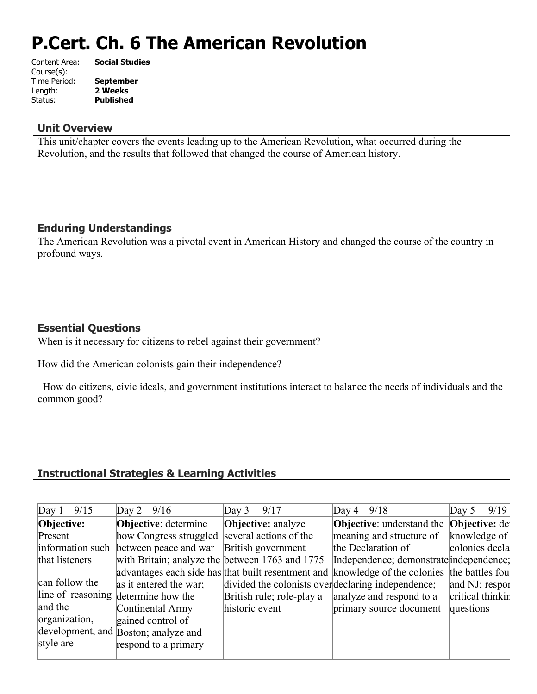# **P.Cert. Ch. 6 The American Revolution**

| Content Area: | <b>Social Studies</b> |
|---------------|-----------------------|
| Course(s):    |                       |
| Time Period:  | <b>September</b>      |
| Length:       | 2 Weeks               |
| Status:       | <b>Published</b>      |
|               |                       |

#### **Unit Overview**

This unit/chapter covers the events leading up to the American Revolution, what occurred during the Revolution, and the results that followed that changed the course of American history.

# **Enduring Understandings**

The American Revolution was a pivotal event in American History and changed the course of the country in profound ways.

# **Essential Questions**

When is it necessary for citizens to rebel against their government?

How did the American colonists gain their independence?

 How do citizens, civic ideals, and government institutions interact to balance the needs of individuals and the common good?

# **Instructional Strategies & Learning Activities**

| Day 1 $9/15$     | Day 2 $9/16$                                    | 9/17<br>Day 3                                      | Day 4 $9/18$                                                                                 | 9/19<br>Day $5$  |
|------------------|-------------------------------------------------|----------------------------------------------------|----------------------------------------------------------------------------------------------|------------------|
|                  |                                                 |                                                    |                                                                                              |                  |
| Objective:       | <b>Objective:</b> determine                     | <b>Objective:</b> analyze                          | <b>Objective:</b> understand the <b>Objective:</b> de                                        |                  |
| Present          | how Congress struggled several actions of the   |                                                    | meaning and structure of                                                                     | knowledge of     |
| information such | between peace and war British government        |                                                    | the Declaration of                                                                           | colonies decla   |
| that listeners   | with Britain; analyze the between 1763 and 1775 |                                                    | Independence; demonstrate independence;                                                      |                  |
|                  |                                                 |                                                    | advantages each side has that built resentment and knowledge of the colonies the battles fou |                  |
| can follow the   | as it entered the war;                          | divided the colonists over declaring independence; |                                                                                              | and NJ; respor   |
|                  | line of reasoning determine how the             | British rule; role-play a                          | analyze and respond to a                                                                     | critical thinkin |
| and the          | Continental Army                                | historic event                                     | primary source document                                                                      | questions        |
| organization,    | gained control of                               |                                                    |                                                                                              |                  |
|                  | development, and Boston; analyze and            |                                                    |                                                                                              |                  |
| style are        | respond to a primary                            |                                                    |                                                                                              |                  |
|                  |                                                 |                                                    |                                                                                              |                  |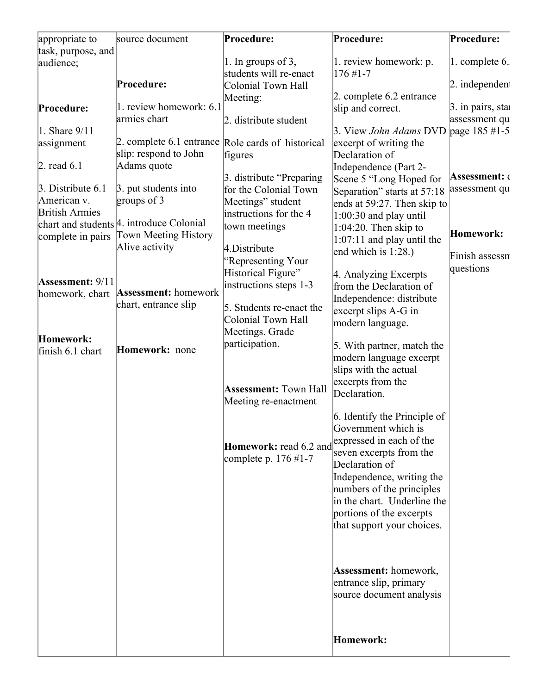| task, purpose, and<br>audience; |                                                        | 1. In groups of 3,           | 1. review homework: p.                               |                      |
|---------------------------------|--------------------------------------------------------|------------------------------|------------------------------------------------------|----------------------|
|                                 |                                                        |                              |                                                      |                      |
|                                 |                                                        |                              |                                                      | 1. complete 6.       |
|                                 | Procedure:                                             | students will re-enact       | $176 \#1 - 7$                                        |                      |
|                                 |                                                        | Colonial Town Hall           | 2. complete 6.2 entrance                             | $ 2.$ independent    |
| Procedure:                      | 1. review homework: 6.1                                | Meeting:                     |                                                      | 3. in pairs, stai    |
|                                 | armies chart                                           |                              | slip and correct.                                    | assessment qu        |
| $\ln$ Share $9/11$              |                                                        | 2. distribute student        | 3. View <i>John Adams</i> DVD page $185 \#1-5$       |                      |
| assignment                      | 2. complete 6.1 entrance Role cards of historical      |                              | excerpt of writing the                               |                      |
|                                 | slip: respond to John                                  | figures                      | Declaration of                                       |                      |
| $\beta$ . read 6.1              | Adams quote                                            |                              | Independence (Part 2-                                |                      |
|                                 |                                                        | 3. distribute "Preparing"    | Scene 5 "Long Hoped for                              | <b>Assessment:</b> ‹ |
| $\beta$ . Distribute 6.1        | $\beta$ . put students into                            | for the Colonial Town        | Separation" starts at 57:18                          | assessment qu        |
| American v.                     | groups of $3$                                          | Meetings" student            | ends at 59:27. Then skip to                          |                      |
| <b>British Armies</b>           |                                                        | instructions for the 4       |                                                      |                      |
|                                 | chart and students <sup>[4]</sup> . introduce Colonial | town meetings                | $1:00:30$ and play until<br>$1:04:20$ . Then skip to |                      |
| complete in pairs               | <b>Town Meeting History</b>                            |                              |                                                      | Homework:            |
|                                 | Alive activity                                         | 4.Distribute                 | $1:07:11$ and play until the                         |                      |
|                                 |                                                        | "Representing Your           | end which is $1:28$ .)                               | Finish assessn       |
|                                 |                                                        | Historical Figure"           | 4. Analyzing Excerpts                                | questions            |
| Assessment: 9/11                |                                                        | instructions steps 1-3       | from the Declaration of                              |                      |
| homework, chart                 | Assessment: homework                                   |                              | Independence: distribute                             |                      |
|                                 | chart, entrance slip                                   | 5. Students re-enact the     | excerpt slips A-G in                                 |                      |
|                                 |                                                        | <b>Colonial Town Hall</b>    |                                                      |                      |
|                                 |                                                        | Meetings. Grade              | modern language.                                     |                      |
| Homework:                       |                                                        | participation.               | 5. With partner, match the                           |                      |
| finish 6.1 chart                | Homework: none                                         |                              | modern language excerpt                              |                      |
|                                 |                                                        |                              | slips with the actual                                |                      |
|                                 |                                                        |                              | excerpts from the                                    |                      |
|                                 |                                                        | <b>Assessment: Town Hall</b> | Declaration.                                         |                      |
|                                 |                                                        | Meeting re-enactment         |                                                      |                      |
|                                 |                                                        |                              | 6. Identify the Principle of                         |                      |
|                                 |                                                        |                              | Government which is                                  |                      |
|                                 |                                                        |                              | expressed in each of the                             |                      |
|                                 |                                                        | Homework: read 6.2 and       | seven excerpts from the                              |                      |
|                                 |                                                        | complete p. $176 \#1 - 7$    | Declaration of                                       |                      |
|                                 |                                                        |                              | Independence, writing the                            |                      |
|                                 |                                                        |                              | numbers of the principles                            |                      |
|                                 |                                                        |                              | in the chart. Underline the                          |                      |
|                                 |                                                        |                              | portions of the excerpts                             |                      |
|                                 |                                                        |                              | that support your choices.                           |                      |
|                                 |                                                        |                              |                                                      |                      |
|                                 |                                                        |                              |                                                      |                      |
|                                 |                                                        |                              |                                                      |                      |
|                                 |                                                        |                              | <b>Assessment:</b> homework,                         |                      |
|                                 |                                                        |                              | entrance slip, primary                               |                      |
|                                 |                                                        |                              | source document analysis                             |                      |
|                                 |                                                        |                              |                                                      |                      |
|                                 |                                                        |                              |                                                      |                      |
|                                 |                                                        |                              |                                                      |                      |
|                                 |                                                        |                              | Homework:                                            |                      |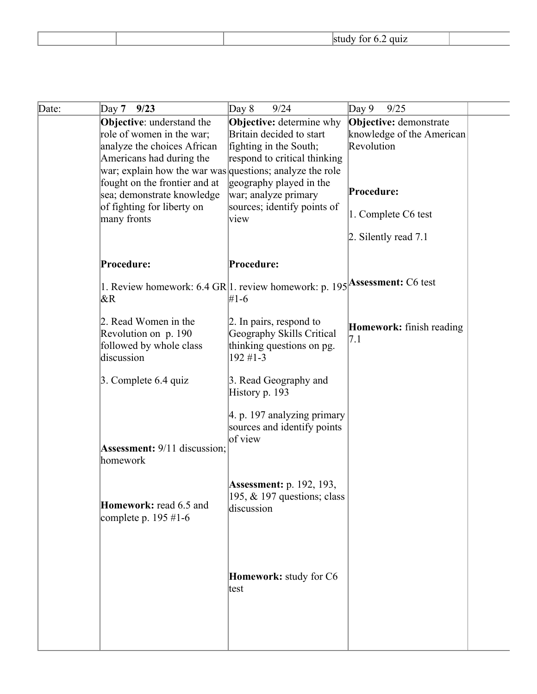| Date: | Day $7$<br>9/23                                                                                                                                                                                                                                                                                  | 9/24<br>Day 8                                                                                                                                                                                                   | Day $9$<br>9/25                                                                                                                  |  |
|-------|--------------------------------------------------------------------------------------------------------------------------------------------------------------------------------------------------------------------------------------------------------------------------------------------------|-----------------------------------------------------------------------------------------------------------------------------------------------------------------------------------------------------------------|----------------------------------------------------------------------------------------------------------------------------------|--|
|       | <b>Objective:</b> understand the<br>role of women in the war;<br>analyze the choices African<br>Americans had during the<br>war; explain how the war was questions; analyze the role<br>fought on the frontier and at<br>sea; demonstrate knowledge<br>of fighting for liberty on<br>many fronts | <b>Objective:</b> determine why<br>Britain decided to start<br>fighting in the South;<br>respond to critical thinking<br>geography played in the<br>war; analyze primary<br>sources; identify points of<br>view | Objective: demonstrate<br>knowledge of the American<br>Revolution<br>Procedure:<br>1. Complete C6 test<br>2. Silently read $7.1$ |  |
|       | Procedure:                                                                                                                                                                                                                                                                                       | Procedure:                                                                                                                                                                                                      |                                                                                                                                  |  |
|       | 1. Review homework: 6.4 GR 1. review homework: p. 195 Assessment: C6 test<br>$\&R$                                                                                                                                                                                                               | #1-6                                                                                                                                                                                                            |                                                                                                                                  |  |
|       | 2. Read Women in the<br>Revolution on p. 190<br>followed by whole class<br>discussion                                                                                                                                                                                                            | $\vert$ 2. In pairs, respond to<br>Geography Skills Critical<br>thinking questions on pg.<br>192 #1-3                                                                                                           | <b>Homework:</b> finish reading<br> 7.1                                                                                          |  |
|       | $\beta$ . Complete 6.4 quiz                                                                                                                                                                                                                                                                      | 3. Read Geography and<br>History p. 193                                                                                                                                                                         |                                                                                                                                  |  |
|       | <b>Assessment:</b> 9/11 discussion:<br>homework                                                                                                                                                                                                                                                  | $ 4. p. 197$ analyzing primary<br>sources and identify points<br>of view                                                                                                                                        |                                                                                                                                  |  |
|       | Homework: read 6.5 and<br>complete p. $195 \text{ #}1-6$                                                                                                                                                                                                                                         | <b>Assessment:</b> p. 192, 193,<br>195, $&$ 197 questions; class<br>discussion                                                                                                                                  |                                                                                                                                  |  |
|       |                                                                                                                                                                                                                                                                                                  | Homework: study for C6<br>test                                                                                                                                                                                  |                                                                                                                                  |  |
|       |                                                                                                                                                                                                                                                                                                  |                                                                                                                                                                                                                 |                                                                                                                                  |  |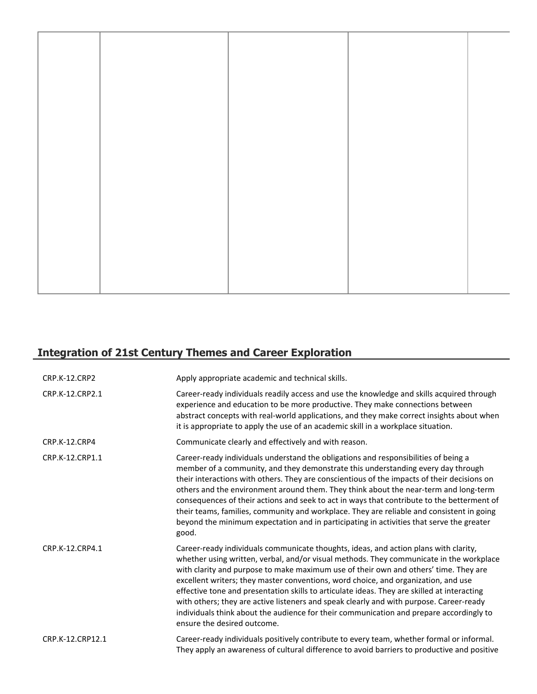# **Integration of 21st Century Themes and Career Exploration**

| <b>CRP.K-12.CRP2</b> | Apply appropriate academic and technical skills.                                                                                                                                                                                                                                                                                                                                                                                                                                                                                                                                                                                                                                  |
|----------------------|-----------------------------------------------------------------------------------------------------------------------------------------------------------------------------------------------------------------------------------------------------------------------------------------------------------------------------------------------------------------------------------------------------------------------------------------------------------------------------------------------------------------------------------------------------------------------------------------------------------------------------------------------------------------------------------|
| CRP.K-12.CRP2.1      | Career-ready individuals readily access and use the knowledge and skills acquired through<br>experience and education to be more productive. They make connections between<br>abstract concepts with real-world applications, and they make correct insights about when<br>it is appropriate to apply the use of an academic skill in a workplace situation.                                                                                                                                                                                                                                                                                                                      |
| CRP.K-12.CRP4        | Communicate clearly and effectively and with reason.                                                                                                                                                                                                                                                                                                                                                                                                                                                                                                                                                                                                                              |
| CRP.K-12.CRP1.1      | Career-ready individuals understand the obligations and responsibilities of being a<br>member of a community, and they demonstrate this understanding every day through<br>their interactions with others. They are conscientious of the impacts of their decisions on<br>others and the environment around them. They think about the near-term and long-term<br>consequences of their actions and seek to act in ways that contribute to the betterment of<br>their teams, families, community and workplace. They are reliable and consistent in going<br>beyond the minimum expectation and in participating in activities that serve the greater<br>good.                    |
| CRP.K-12.CRP4.1      | Career-ready individuals communicate thoughts, ideas, and action plans with clarity,<br>whether using written, verbal, and/or visual methods. They communicate in the workplace<br>with clarity and purpose to make maximum use of their own and others' time. They are<br>excellent writers; they master conventions, word choice, and organization, and use<br>effective tone and presentation skills to articulate ideas. They are skilled at interacting<br>with others; they are active listeners and speak clearly and with purpose. Career-ready<br>individuals think about the audience for their communication and prepare accordingly to<br>ensure the desired outcome. |
| CRP.K-12.CRP12.1     | Career-ready individuals positively contribute to every team, whether formal or informal.<br>They apply an awareness of cultural difference to avoid barriers to productive and positive                                                                                                                                                                                                                                                                                                                                                                                                                                                                                          |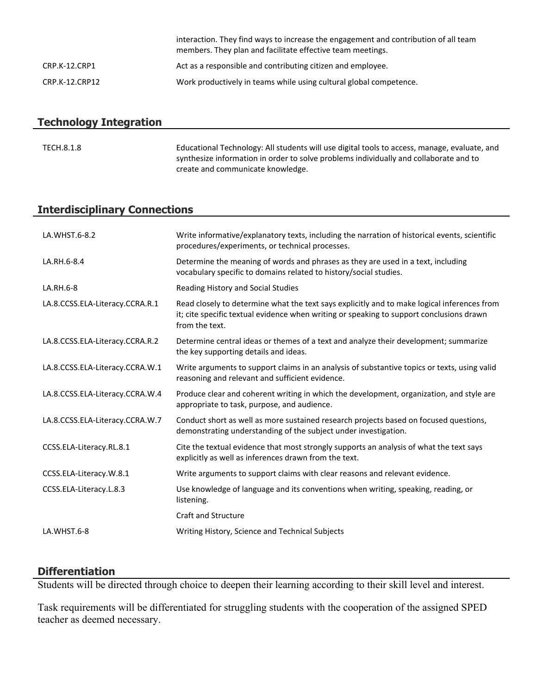|                | interaction. They find ways to increase the engagement and contribution of all team<br>members. They plan and facilitate effective team meetings. |
|----------------|---------------------------------------------------------------------------------------------------------------------------------------------------|
| CRP.K-12.CRP1  | Act as a responsible and contributing citizen and employee.                                                                                       |
| CRP.K-12.CRP12 | Work productively in teams while using cultural global competence.                                                                                |

# **Technology Integration**

| TECH.8.1.8 | Educational Technology: All students will use digital tools to access, manage, evaluate, and |
|------------|----------------------------------------------------------------------------------------------|
|            | synthesize information in order to solve problems individually and collaborate and to        |
|            | create and communicate knowledge.                                                            |

# **Interdisciplinary Connections**

| LA.WHST.6-8.2                   | Write informative/explanatory texts, including the narration of historical events, scientific<br>procedures/experiments, or technical processes.                                                          |
|---------------------------------|-----------------------------------------------------------------------------------------------------------------------------------------------------------------------------------------------------------|
| LA.RH.6-8.4                     | Determine the meaning of words and phrases as they are used in a text, including<br>vocabulary specific to domains related to history/social studies.                                                     |
| LA.RH.6-8                       | Reading History and Social Studies                                                                                                                                                                        |
| LA.8.CCSS.ELA-Literacy.CCRA.R.1 | Read closely to determine what the text says explicitly and to make logical inferences from<br>it; cite specific textual evidence when writing or speaking to support conclusions drawn<br>from the text. |
| LA.8.CCSS.ELA-Literacy.CCRA.R.2 | Determine central ideas or themes of a text and analyze their development; summarize<br>the key supporting details and ideas.                                                                             |
| LA.8.CCSS.ELA-Literacy.CCRA.W.1 | Write arguments to support claims in an analysis of substantive topics or texts, using valid<br>reasoning and relevant and sufficient evidence.                                                           |
| LA.8.CCSS.ELA-Literacy.CCRA.W.4 | Produce clear and coherent writing in which the development, organization, and style are<br>appropriate to task, purpose, and audience.                                                                   |
| LA.8.CCSS.ELA-Literacy.CCRA.W.7 | Conduct short as well as more sustained research projects based on focused questions,<br>demonstrating understanding of the subject under investigation.                                                  |
| CCSS.ELA-Literacy.RL.8.1        | Cite the textual evidence that most strongly supports an analysis of what the text says<br>explicitly as well as inferences drawn from the text.                                                          |
| CCSS.ELA-Literacy.W.8.1         | Write arguments to support claims with clear reasons and relevant evidence.                                                                                                                               |
| CCSS.ELA-Literacy.L.8.3         | Use knowledge of language and its conventions when writing, speaking, reading, or<br>listening.                                                                                                           |
|                                 | <b>Craft and Structure</b>                                                                                                                                                                                |
| LA.WHST.6-8                     | Writing History, Science and Technical Subjects                                                                                                                                                           |

# **Differentiation**

Students will be directed through choice to deepen their learning according to their skill level and interest.

Task requirements will be differentiated for struggling students with the cooperation of the assigned SPED teacher as deemed necessary.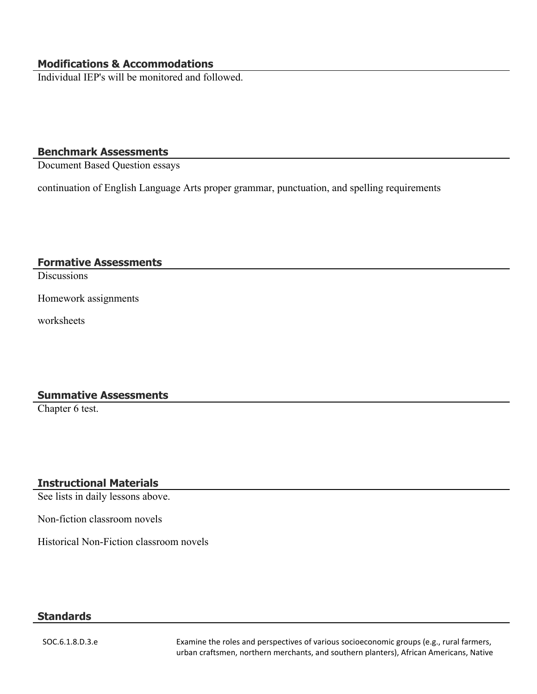### **Modifications & Accommodations**

Individual IEP's will be monitored and followed.

#### **Benchmark Assessments**

Document Based Question essays

continuation of English Language Arts proper grammar, punctuation, and spelling requirements

#### **Formative Assessments**

**Discussions** 

Homework assignments

worksheets

#### **Summative Assessments**

Chapter 6 test.

#### **Instructional Materials**

See lists in daily lessons above.

Non-fiction classroom novels

Historical Non-Fiction classroom novels

#### **Standards**

SOC.6.1.8.D.3.e Examine the roles and perspectives of various socioeconomic groups (e.g., rural farmers, urban craftsmen, northern merchants, and southern planters), African Americans, Native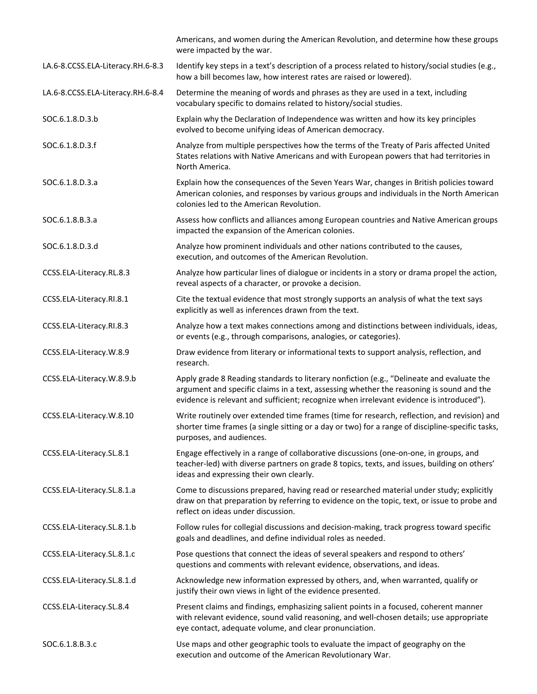|                                   | Americans, and women during the American Revolution, and determine how these groups<br>were impacted by the war.                                                                                                                                                                  |
|-----------------------------------|-----------------------------------------------------------------------------------------------------------------------------------------------------------------------------------------------------------------------------------------------------------------------------------|
| LA.6-8.CCSS.ELA-Literacy.RH.6-8.3 | Identify key steps in a text's description of a process related to history/social studies (e.g.,<br>how a bill becomes law, how interest rates are raised or lowered).                                                                                                            |
| LA.6-8.CCSS.ELA-Literacy.RH.6-8.4 | Determine the meaning of words and phrases as they are used in a text, including<br>vocabulary specific to domains related to history/social studies.                                                                                                                             |
| SOC.6.1.8.D.3.b                   | Explain why the Declaration of Independence was written and how its key principles<br>evolved to become unifying ideas of American democracy.                                                                                                                                     |
| SOC.6.1.8.D.3.f                   | Analyze from multiple perspectives how the terms of the Treaty of Paris affected United<br>States relations with Native Americans and with European powers that had territories in<br>North America.                                                                              |
| SOC.6.1.8.D.3.a                   | Explain how the consequences of the Seven Years War, changes in British policies toward<br>American colonies, and responses by various groups and individuals in the North American<br>colonies led to the American Revolution.                                                   |
| SOC.6.1.8.B.3.a                   | Assess how conflicts and alliances among European countries and Native American groups<br>impacted the expansion of the American colonies.                                                                                                                                        |
| SOC.6.1.8.D.3.d                   | Analyze how prominent individuals and other nations contributed to the causes,<br>execution, and outcomes of the American Revolution.                                                                                                                                             |
| CCSS.ELA-Literacy.RL.8.3          | Analyze how particular lines of dialogue or incidents in a story or drama propel the action,<br>reveal aspects of a character, or provoke a decision.                                                                                                                             |
| CCSS.ELA-Literacy.RI.8.1          | Cite the textual evidence that most strongly supports an analysis of what the text says<br>explicitly as well as inferences drawn from the text.                                                                                                                                  |
| CCSS.ELA-Literacy.RI.8.3          | Analyze how a text makes connections among and distinctions between individuals, ideas,<br>or events (e.g., through comparisons, analogies, or categories).                                                                                                                       |
| CCSS.ELA-Literacy.W.8.9           | Draw evidence from literary or informational texts to support analysis, reflection, and<br>research.                                                                                                                                                                              |
| CCSS.ELA-Literacy.W.8.9.b         | Apply grade 8 Reading standards to literary nonfiction (e.g., "Delineate and evaluate the<br>argument and specific claims in a text, assessing whether the reasoning is sound and the<br>evidence is relevant and sufficient; recognize when irrelevant evidence is introduced"). |
| CCSS.ELA-Literacy.W.8.10          | Write routinely over extended time frames (time for research, reflection, and revision) and<br>shorter time frames (a single sitting or a day or two) for a range of discipline-specific tasks,<br>purposes, and audiences.                                                       |
| CCSS.ELA-Literacy.SL.8.1          | Engage effectively in a range of collaborative discussions (one-on-one, in groups, and<br>teacher-led) with diverse partners on grade 8 topics, texts, and issues, building on others'<br>ideas and expressing their own clearly.                                                 |
| CCSS.ELA-Literacy.SL.8.1.a        | Come to discussions prepared, having read or researched material under study; explicitly<br>draw on that preparation by referring to evidence on the topic, text, or issue to probe and<br>reflect on ideas under discussion.                                                     |
| CCSS.ELA-Literacy.SL.8.1.b        | Follow rules for collegial discussions and decision-making, track progress toward specific<br>goals and deadlines, and define individual roles as needed.                                                                                                                         |
| CCSS.ELA-Literacy.SL.8.1.c        | Pose questions that connect the ideas of several speakers and respond to others'<br>questions and comments with relevant evidence, observations, and ideas.                                                                                                                       |
| CCSS.ELA-Literacy.SL.8.1.d        | Acknowledge new information expressed by others, and, when warranted, qualify or<br>justify their own views in light of the evidence presented.                                                                                                                                   |
| CCSS.ELA-Literacy.SL.8.4          | Present claims and findings, emphasizing salient points in a focused, coherent manner<br>with relevant evidence, sound valid reasoning, and well-chosen details; use appropriate<br>eye contact, adequate volume, and clear pronunciation.                                        |
| SOC.6.1.8.B.3.c                   | Use maps and other geographic tools to evaluate the impact of geography on the<br>execution and outcome of the American Revolutionary War.                                                                                                                                        |